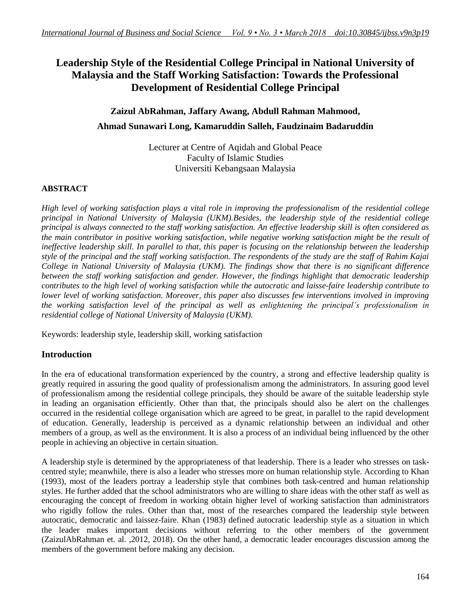## **Leadership Style of the Residential College Principal in National University of Malaysia and the Staff Working Satisfaction: Towards the Professional Development of Residential College Principal**

# **Zaizul AbRahman, Jaffary Awang, Abdull Rahman Mahmood,**

## **Ahmad Sunawari Long, Kamaruddin Salleh, Faudzinaim Badaruddin**

Lecturer at Centre of Aqidah and Global Peace Faculty of Islamic Studies Universiti Kebangsaan Malaysia

## **ABSTRACT**

*High level of working satisfaction plays a vital role in improving the professionalism of the residential college principal in National University of Malaysia (UKM).Besides, the leadership style of the residential college principal is always connected to the staff working satisfaction. An effective leadership skill is often considered as the main contributor in positive working satisfaction, while negative working satisfaction might be the result of ineffective leadership skill. In parallel to that, this paper is focusing on the relationship between the leadership style of the principal and the staff working satisfaction. The respondents of the study are the staff of Rahim Kajai College in National University of Malaysia (UKM). The findings show that there is no significant difference between the staff working satisfaction and gender. However, the findings highlight that democratic leadership contributes to the high level of working satisfaction while the autocratic and laisse-faire leadership contribute to lower level of working satisfaction. Moreover, this paper also discusses few interventions involved in improving the working satisfaction level of the principal as well as enlightening the principal's professionalism in residential college of National University of Malaysia (UKM).*

Keywords: leadership style, leadership skill, working satisfaction

## **Introduction**

In the era of educational transformation experienced by the country, a strong and effective leadership quality is greatly required in assuring the good quality of professionalism among the administrators. In assuring good level of professionalism among the residential college principals, they should be aware of the suitable leadership style in leading an organisation efficiently. Other than that, the principals should also be alert on the challenges occurred in the residential college organisation which are agreed to be great, in parallel to the rapid development of education. Generally, leadership is perceived as a dynamic relationship between an individual and other members of a group, as well as the environment. It is also a process of an individual being influenced by the other people in achieving an objective in certain situation.

A leadership style is determined by the appropriateness of that leadership. There is a leader who stresses on taskcentred style; meanwhile, there is also a leader who stresses more on human relationship style. According to Khan (1993), most of the leaders portray a leadership style that combines both task-centred and human relationship styles. He further added that the school administrators who are willing to share ideas with the other staff as well as encouraging the concept of freedom in working obtain higher level of working satisfaction than administrators who rigidly follow the rules. Other than that, most of the researches compared the leadership style between autocratic, democratic and laissez-faire. Khan (1983) defined autocratic leadership style as a situation in which the leader makes important decisions without referring to the other members of the government (ZaizulAbRahman et. al. ,2012, 2018). On the other hand, a democratic leader encourages discussion among the members of the government before making any decision.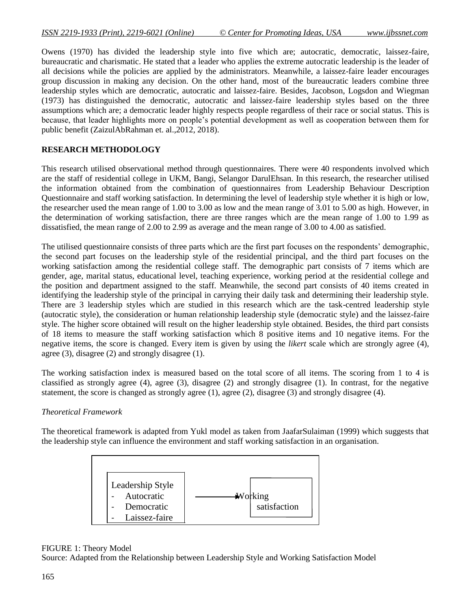Owens (1970) has divided the leadership style into five which are; autocratic, democratic, laissez-faire, bureaucratic and charismatic. He stated that a leader who applies the extreme autocratic leadership is the leader of all decisions while the policies are applied by the administrators. Meanwhile, a laissez-faire leader encourages group discussion in making any decision. On the other hand, most of the bureaucratic leaders combine three leadership styles which are democratic, autocratic and laissez-faire. Besides, Jacobson, Logsdon and Wiegman (1973) has distinguished the democratic, autocratic and laissez-faire leadership styles based on the three assumptions which are; a democratic leader highly respects people regardless of their race or social status. This is because, that leader highlights more on people's potential development as well as cooperation between them for public benefit (ZaizulAbRahman et. al.,2012, 2018).

## **RESEARCH METHODOLOGY**

This research utilised observational method through questionnaires. There were 40 respondents involved which are the staff of residential college in UKM, Bangi, Selangor DarulEhsan. In this research, the researcher utilised the information obtained from the combination of questionnaires from Leadership Behaviour Description Questionnaire and staff working satisfaction. In determining the level of leadership style whether it is high or low, the researcher used the mean range of 1.00 to 3.00 as low and the mean range of 3.01 to 5.00 as high. However, in the determination of working satisfaction, there are three ranges which are the mean range of 1.00 to 1.99 as dissatisfied, the mean range of 2.00 to 2.99 as average and the mean range of 3.00 to 4.00 as satisfied.

The utilised questionnaire consists of three parts which are the first part focuses on the respondents' demographic, the second part focuses on the leadership style of the residential principal, and the third part focuses on the working satisfaction among the residential college staff. The demographic part consists of 7 items which are gender, age, marital status, educational level, teaching experience, working period at the residential college and the position and department assigned to the staff. Meanwhile, the second part consists of 40 items created in identifying the leadership style of the principal in carrying their daily task and determining their leadership style. There are 3 leadership styles which are studied in this research which are the task-centred leadership style (autocratic style), the consideration or human relationship leadership style (democratic style) and the laissez-faire style. The higher score obtained will result on the higher leadership style obtained. Besides, the third part consists of 18 items to measure the staff working satisfaction which 8 positive items and 10 negative items. For the negative items, the score is changed. Every item is given by using the *likert* scale which are strongly agree (4), agree (3), disagree (2) and strongly disagree (1).

The working satisfaction index is measured based on the total score of all items. The scoring from 1 to 4 is classified as strongly agree (4), agree (3), disagree (2) and strongly disagree (1). In contrast, for the negative statement, the score is changed as strongly agree (1), agree (2), disagree (3) and strongly disagree (4).

## *Theoretical Framework*

The theoretical framework is adapted from Yukl model as taken from JaafarSulaiman (1999) which suggests that the leadership style can influence the environment and staff working satisfaction in an organisation.



#### FIGURE 1: Theory Model

Source: Adapted from the Relationship between Leadership Style and Working Satisfaction Model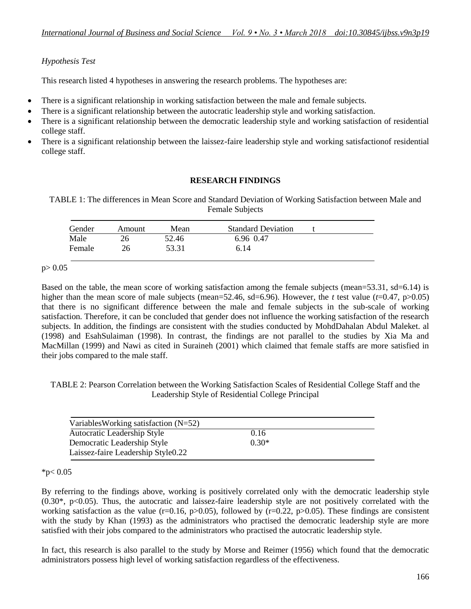## *Hypothesis Test*

This research listed 4 hypotheses in answering the research problems. The hypotheses are:

- There is a significant relationship in working satisfaction between the male and female subjects.
- There is a significant relationship between the autocratic leadership style and working satisfaction.
- There is a significant relationship between the democratic leadership style and working satisfaction of residential college staff.
- There is a significant relationship between the laissez-faire leadership style and working satisfactionof residential college staff.

### **RESEARCH FINDINGS**

TABLE 1: The differences in Mean Score and Standard Deviation of Working Satisfaction between Male and Female Subjects

| Gender | Amount | Mean  | <b>Standard Deviation</b> |  |
|--------|--------|-------|---------------------------|--|
| Male   | 26     | 52.46 | 6.96 0.47                 |  |
| Female | 26     | 53.31 | 6.14                      |  |

#### $p > 0.05$

Based on the table, the mean score of working satisfaction among the female subjects (mean=53.31, sd=6.14) is higher than the mean score of male subjects (mean=52.46, sd=6.96). However, the *t* test value ( $t=0.47$ ,  $p>0.05$ ) that there is no significant difference between the male and female subjects in the sub-scale of working satisfaction. Therefore, it can be concluded that gender does not influence the working satisfaction of the research subjects. In addition, the findings are consistent with the studies conducted by MohdDahalan Abdul Maleket. al (1998) and EsahSulaiman (1998). In contrast, the findings are not parallel to the studies by Xia Ma and MacMillan (1999) and Nawi as cited in Suraineh (2001) which claimed that female staffs are more satisfied in their jobs compared to the male staff.

TABLE 2: Pearson Correlation between the Working Satisfaction Scales of Residential College Staff and the Leadership Style of Residential College Principal

| Variables Working satisfaction $(N=52)$ |         |  |
|-----------------------------------------|---------|--|
| Autocratic Leadership Style             | 0.16    |  |
| Democratic Leadership Style             | $0.30*$ |  |
| Laissez-faire Leadership Style0.22      |         |  |

#### $*p< 0.05$

By referring to the findings above, working is positively correlated only with the democratic leadership style  $(0.30^*, p<0.05)$ . Thus, the autocratic and laissez-faire leadership style are not positively correlated with the working satisfaction as the value ( $r=0.16$ ,  $p>0.05$ ), followed by ( $r=0.22$ ,  $p>0.05$ ). These findings are consistent with the study by Khan (1993) as the administrators who practised the democratic leadership style are more satisfied with their jobs compared to the administrators who practised the autocratic leadership style.

In fact, this research is also parallel to the study by Morse and Reimer (1956) which found that the democratic administrators possess high level of working satisfaction regardless of the effectiveness.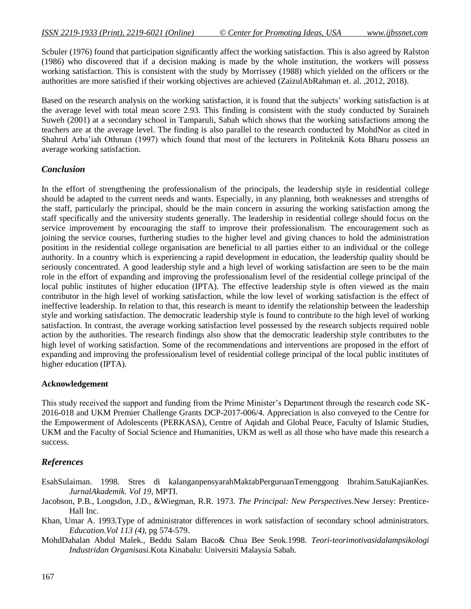Scbuler (1976) found that participation significantly affect the working satisfaction. This is also agreed by Ralston (1986) who discovered that if a decision making is made by the whole institution, the workers will possess working satisfaction. This is consistent with the study by Morrissey (1988) which yielded on the officers or the authorities are more satisfied if their working objectives are achieved (ZaizulAbRahman et. al. ,2012, 2018).

Based on the research analysis on the working satisfaction, it is found that the subjects' working satisfaction is at the average level with total mean score 2.93. This finding is consistent with the study conducted by Suraineh Suweh (2001) at a secondary school in Tamparuli, Sabah which shows that the working satisfactions among the teachers are at the average level. The finding is also parallel to the research conducted by MohdNor as cited in Shahrul Arba'iah Othman (1997) which found that most of the lecturers in Politeknik Kota Bharu possess an average working satisfaction.

### *Conclusion*

In the effort of strengthening the professionalism of the principals, the leadership style in residential college should be adapted to the current needs and wants. Especially, in any planning, both weaknesses and strengths of the staff, particularly the principal, should be the main concern in assuring the working satisfaction among the staff specifically and the university students generally. The leadership in residential college should focus on the service improvement by encouraging the staff to improve their professionalism. The encouragement such as joining the service courses, furthering studies to the higher level and giving chances to hold the administration position in the residential college organisation are beneficial to all parties either to an individual or the college authority. In a country which is experiencing a rapid development in education, the leadership quality should be seriously concentrated. A good leadership style and a high level of working satisfaction are seen to be the main role in the effort of expanding and improving the professionalism level of the residential college principal of the local public institutes of higher education (IPTA). The effective leadership style is often viewed as the main contributor in the high level of working satisfaction, while the low level of working satisfaction is the effect of ineffective leadership. In relation to that, this research is meant to identify the relationship between the leadership style and working satisfaction. The democratic leadership style is found to contribute to the high level of working satisfaction. In contrast, the average working satisfaction level possessed by the research subjects required noble action by the authorities. The research findings also show that the democratic leadership style contributes to the high level of working satisfaction. Some of the recommendations and interventions are proposed in the effort of expanding and improving the professionalism level of residential college principal of the local public institutes of higher education (IPTA).

#### **Acknowledgement**

This study received the support and funding from the Prime Minister's Department through the research code SK-2016-018 and UKM Premier Challenge Grants DCP-2017-006/4. Appreciation is also conveyed to the Centre for the Empowerment of Adolescents (PERKASA), Centre of Aqidah and Global Peace, Faculty of Islamic Studies, UKM and the Faculty of Social Science and Humanities, UKM as well as all those who have made this research a success.

## *References*

- EsahSulaiman. 1998. Stres di kalanganpensyarahMaktabPerguruanTemenggong Ibrahim.SatuKajianKes. *JurnalAkademik. Vol 19*, MPTI.
- Jacobson, P.B., Longsdon, J.D., &Wiegman, R.R. 1973. *The Principal: New Perspectives.*New Jersey: Prentice-Hall Inc.
- Khan, Umar A. 1993.Type of administrator differences in work satisfaction of secondary school administrators. *Education.Vol 113 (4)*, pg 574-579.
- MohdDahalan Abdul Malek., Beddu Salam Baco& Chua Bee Seok.1998. *Teori-teorimotivasidalampsikologi Industridan Organisasi.*Kota Kinabalu: Universiti Malaysia Sabah.